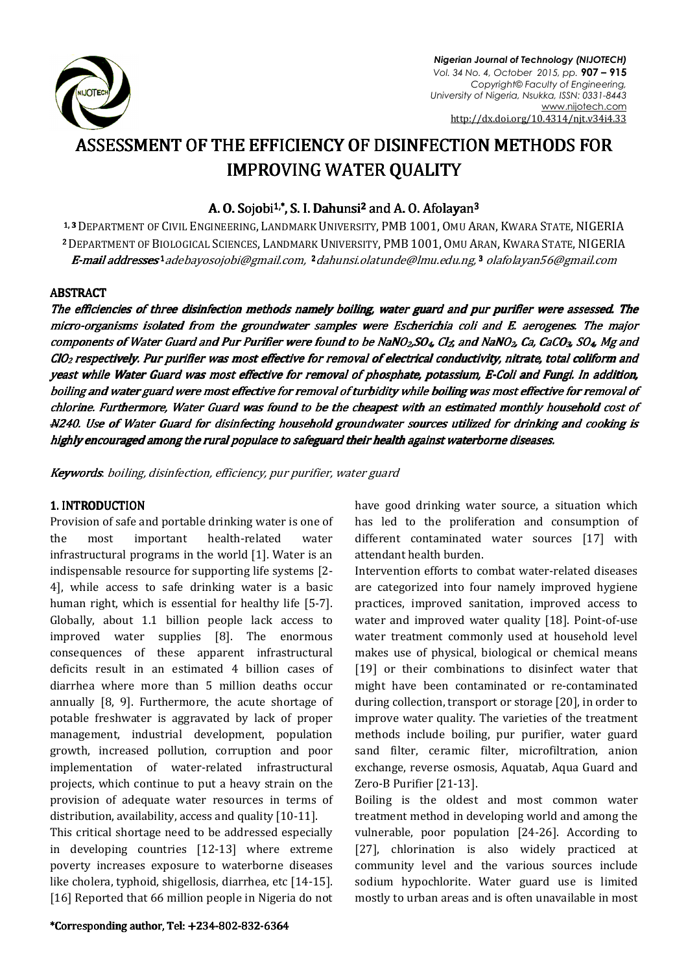

*Nigerian Journal of Technology (NIJOTECH) Vol. 34 No. 4, October 2015, pp.* **907 – 915** *Copyright© Faculty of Engineering, University of Nigeria, Nsukka, ISSN: 0331-8443* www.nijotech.com http://dx.doi.org/10.4314/njt.v34i4.33

# ASSESSMENT OF THE EFFICIENCY OF DISINFECTION METHODS FOR IMPROVING WATER OUALITY

# A. O. Sojobi<sup>1,\*</sup>, S. I. Dahunsi<sup>2</sup> and A. O. Afolayan<sup>3</sup>

1,3 DEPARTMENT OF CIVIL ENGINEERING, LANDMARK UNIVERSITY, PMB 1001, OMU ARAN, KWARA STATE, NIGERIA <sup>2</sup> DEPARTMENT OF BIOLOGICAL SCIENCES, LANDMARK UNIVERSITY, PMB 1001, OMU ARAN, KWARA STATE, NIGERIA E-mail addresses 1adebayosojobi@gmail.com, 2dahunsi.olatunde@lmu.edu.ng, 3 olafolayan56@gmail.com

# **ABSTRACT**

The efficiencies of three disinfection methods namely boiling, water guard and pur purifier were assessed. The micro-organisms isolated from the groundwater samples were Escherichia coli and E. aerogenes. The major components of Water Guard and Pur Purifier were found to be NaNO<sub>2</sub>, SO<sub>4</sub>, Cl<sub>2</sub>; and NaNO<sub>2</sub>, Ca, CaCO<sub>3</sub>, SO<sub>4</sub>, Mg and ClO<sub>2</sub> respectively. Pur purifier was most effective for removal of electrical conductivity, nitrate, total coliform and yeast while Water Guard was most effective for removal of phosphate, potassium, E-Coli and Fungi. In addition, boiling and water guard were most effective for removal of turbidity while boiling was most effective for removal of chlorine. Furthermore, Water Guard was found to be the cheapest with an estimated monthly household cost of N240. Use of Water Guard for disinfecting household groundwater sources utilized for drinking and cooking is highly encouraged among the rural populace to safeguard their health against waterborne diseases.

Keywords: boiling, disinfection, efficiency, pur purifier, water guard

# 1. INTRODUCTION 1. INTRODUCTION

Provision of safe and portable drinking water is one of the most important health-related water infrastructural programs in the world [1]. Water is an indispensable resource for supporting life systems [2- 4], while access to safe drinking water is a basic human right, which is essential for healthy life [5-7]. Globally, about 1.1 billion people lack access to improved water supplies [8]. The enormous consequences of these apparent infrastructural deficits result in an estimated 4 billion cases of diarrhea where more than 5 million deaths occur annually [8, 9]. Furthermore, the acute shortage of potable freshwater is aggravated by lack of proper management, industrial development, population growth, increased pollution, corruption and poor implementation of water-related infrastructural projects, which continue to put a heavy strain on the provision of adequate water resources in terms of distribution, availability, access and quality [10-11].

This critical shortage need to be addressed especially in developing countries [12-13] where extreme poverty increases exposure to waterborne diseases like cholera, typhoid, shigellosis, diarrhea, etc [14-15]. [16] Reported that 66 million people in Nigeria do not

have good drinking water source, a situation which has led to the proliferation and consumption of different contaminated water sources [17] with attendant health burden.

Intervention efforts to combat water-related diseases are categorized into four namely improved hygiene practices, improved sanitation, improved access to water and improved water quality [18]. Point-of-use water treatment commonly used at household level makes use of physical, biological or chemical means [19] or their combinations to disinfect water that might have been contaminated or re-contaminated during collection, transport or storage [20], in order to improve water quality. The varieties of the treatment methods include boiling, pur purifier, water guard sand filter, ceramic filter, microfiltration, anion exchange, reverse osmosis, Aquatab, Aqua Guard and Zero-B Purifier [21-13].

Boiling is the oldest and most common water treatment method in developing world and among the vulnerable, poor population [24-26]. According to [27], chlorination is also widely practiced at community level and the various sources include sodium hypochlorite. Water guard use is limited mostly to urban areas and is often unavailable in most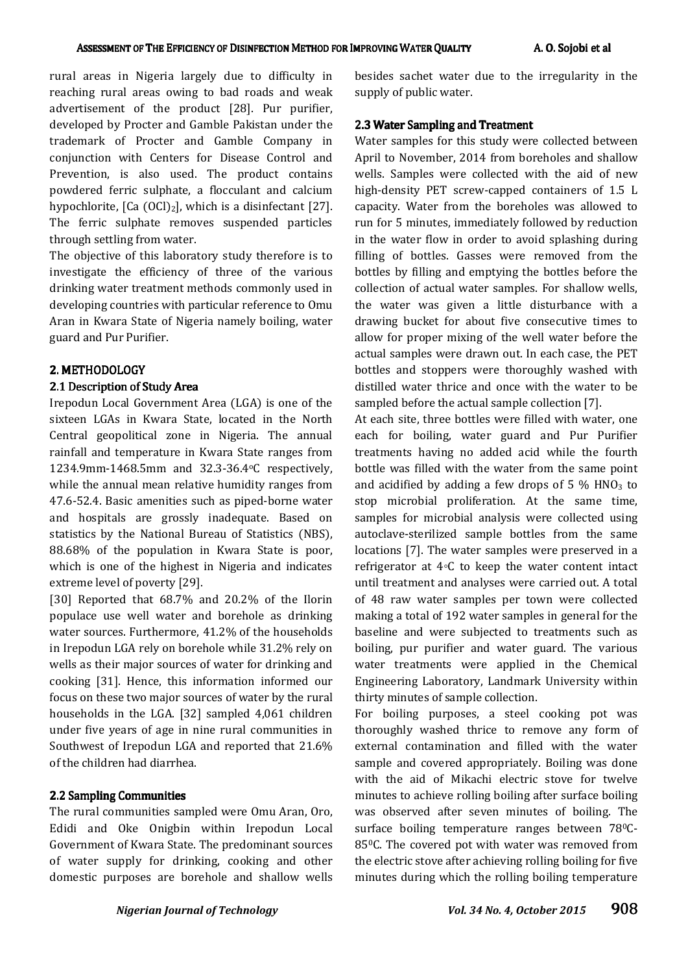rural areas in Nigeria largely due to difficulty in reaching rural areas owing to bad roads and weak advertisement of the product [28]. Pur purifier, developed by Procter and Gamble Pakistan under the trademark of Procter and Gamble Company in conjunction with Centers for Disease Control and Prevention, is also used. The product contains powdered ferric sulphate, a flocculant and calcium hypochlorite,  $[Ca (OCl)<sub>2</sub>]$ , which is a disinfectant  $[27]$ . The ferric sulphate removes suspended particles through settling from water.

The objective of this laboratory study therefore is to investigate the efficiency of three of the various drinking water treatment methods commonly used in developing countries with particular reference to Omu Aran in Kwara State of Nigeria namely boiling, water guard and Pur Purifier.

# 2. METHODOLOGY

### 2.1 Description of Study Area

Irepodun Local Government Area (LGA) is one of the sixteen LGAs in Kwara State, located in the North Central geopolitical zone in Nigeria. The annual rainfall and temperature in Kwara State ranges from 1234.9mm-1468.5mm and 32.3-36.4oC respectively, while the annual mean relative humidity ranges from 47.6-52.4. Basic amenities such as piped-borne water and hospitals are grossly inadequate. Based on statistics by the National Bureau of Statistics (NBS), 88.68% of the population in Kwara State is poor, which is one of the highest in Nigeria and indicates extreme level of poverty [29].

[30] Reported that 68.7% and 20.2% of the Ilorin populace use well water and borehole as drinking water sources. Furthermore, 41.2% of the households in Irepodun LGA rely on borehole while 31.2% rely on wells as their major sources of water for drinking and cooking [31]. Hence, this information informed our focus on these two major sources of water by the rural households in the LGA. [32] sampled 4,061 children under five years of age in nine rural communities in Southwest of Irepodun LGA and reported that 21.6% of the children had diarrhea.

#### 2.2 Sampling Communities

The rural communities sampled were Omu Aran, Oro, Edidi and Oke Onigbin within Irepodun Local Government of Kwara State. The predominant sources of water supply for drinking, cooking and other domestic purposes are borehole and shallow wells besides sachet water due to the irregularity in the supply of public water.

#### 2.3 Water Sampling and Treatment

Water samples for this study were collected between April to November, 2014 from boreholes and shallow wells. Samples were collected with the aid of new high-density PET screw-capped containers of 1.5 L capacity. Water from the boreholes was allowed to run for 5 minutes, immediately followed by reduction in the water flow in order to avoid splashing during filling of bottles. Gasses were removed from the bottles by filling and emptying the bottles before the collection of actual water samples. For shallow wells, the water was given a little disturbance with a drawing bucket for about five consecutive times to allow for proper mixing of the well water before the actual samples were drawn out. In each case, the PET bottles and stoppers were thoroughly washed with distilled water thrice and once with the water to be sampled before the actual sample collection [7].

At each site, three bottles were filled with water, one each for boiling, water guard and Pur Purifier treatments having no added acid while the fourth bottle was filled with the water from the same point and acidified by adding a few drops of  $5\%$  HNO<sub>3</sub> to stop microbial proliferation. At the same time, samples for microbial analysis were collected using autoclave-sterilized sample bottles from the same locations [7]. The water samples were preserved in a refrigerator at 4◦C to keep the water content intact until treatment and analyses were carried out. A total of 48 raw water samples per town were collected making a total of 192 water samples in general for the baseline and were subjected to treatments such as boiling, pur purifier and water guard. The various water treatments were applied in the Chemical Engineering Laboratory, Landmark University within thirty minutes of sample collection.

For boiling purposes, a steel cooking pot was thoroughly washed thrice to remove any form of external contamination and filled with the water sample and covered appropriately. Boiling was done with the aid of Mikachi electric stove for twelve minutes to achieve rolling boiling after surface boiling was observed after seven minutes of boiling. The surface boiling temperature ranges between 78<sup>o</sup>C-850C. The covered pot with water was removed from the electric stove after achieving rolling boiling for five minutes during which the rolling boiling temperature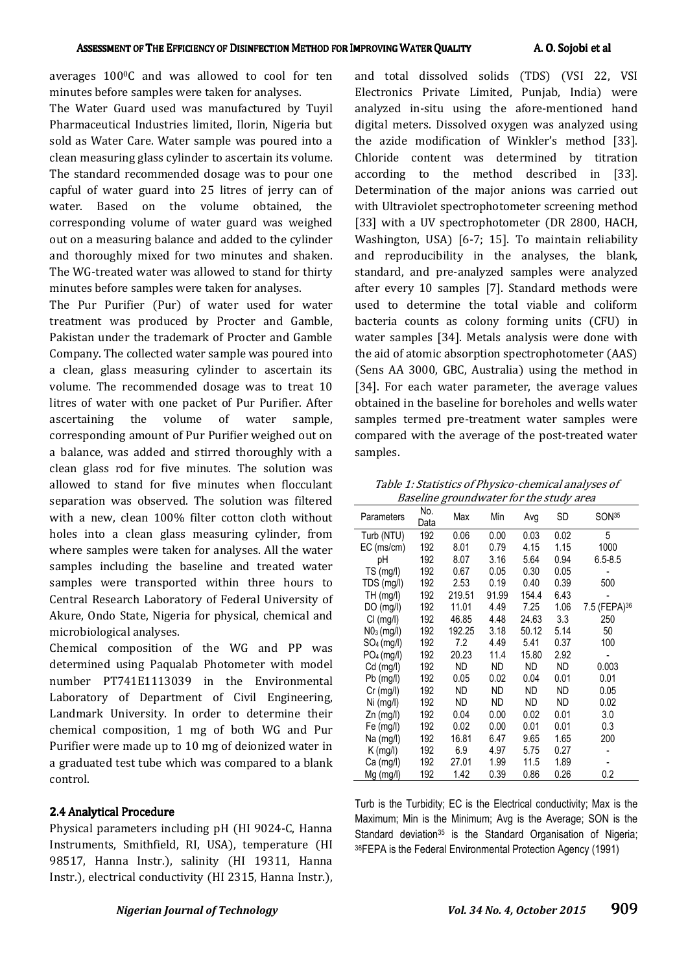averages 1000C and was allowed to cool for ten minutes before samples were taken for analyses.

The Water Guard used was manufactured by Tuyil Pharmaceutical Industries limited, Ilorin, Nigeria but sold as Water Care. Water sample was poured into a clean measuring glass cylinder to ascertain its volume. The standard recommended dosage was to pour one capful of water guard into 25 litres of jerry can of water. Based on the volume obtained, the corresponding volume of water guard was weighed out on a measuring balance and added to the cylinder and thoroughly mixed for two minutes and shaken. The WG-treated water was allowed to stand for thirty minutes before samples were taken for analyses.

The Pur Purifier (Pur) of water used for water treatment was produced by Procter and Gamble, Pakistan under the trademark of Procter and Gamble Company. The collected water sample was poured into a clean, glass measuring cylinder to ascertain its volume. The recommended dosage was to treat 10 litres of water with one packet of Pur Purifier. After ascertaining the volume of water sample, corresponding amount of Pur Purifier weighed out on a balance, was added and stirred thoroughly with a clean glass rod for five minutes. The solution was allowed to stand for five minutes when flocculant separation was observed. The solution was filtered with a new, clean 100% filter cotton cloth without holes into a clean glass measuring cylinder, from where samples were taken for analyses. All the water samples including the baseline and treated water samples were transported within three hours to Central Research Laboratory of Federal University of Akure, Ondo State, Nigeria for physical, chemical and microbiological analyses.

Chemical composition of the WG and PP was determined using Paqualab Photometer with model number PT741E1113039 in the Environmental Laboratory of Department of Civil Engineering, Landmark University. In order to determine their chemical composition, 1 mg of both WG and Pur Purifier were made up to 10 mg of deionized water in a graduated test tube which was compared to a blank control.

#### 2.4 Analytical Procedure

Physical parameters including pH (HI 9024-C, Hanna Instruments, Smithfield, RI, USA), temperature (HI 98517, Hanna Instr.), salinity (HI 19311, Hanna Instr.), electrical conductivity (HI 2315, Hanna Instr.), and total dissolved solids (TDS) (VSI 22, VSI Electronics Private Limited, Punjab, India) were analyzed in-situ using the afore-mentioned hand digital meters. Dissolved oxygen was analyzed using the azide modification of Winkler's method [33]. Chloride content was determined by titration according to the method described in [33]. Determination of the major anions was carried out with Ultraviolet spectrophotometer screening method [33] with a UV spectrophotometer (DR 2800, HACH, Washington, USA) [6-7; 15]. To maintain reliability and reproducibility in the analyses, the blank, standard, and pre-analyzed samples were analyzed after every 10 samples [7]. Standard methods were used to determine the total viable and coliform bacteria counts as colony forming units (CFU) in water samples [34]. Metals analysis were done with the aid of atomic absorption spectrophotometer (AAS) (Sens AA 3000, GBC, Australia) using the method in [34]. For each water parameter, the average values obtained in the baseline for boreholes and wells water samples termed pre-treatment water samples were compared with the average of the post-treated water samples.

Table 1: Statistics of Physico-chemical analyses of Baseline groundwater for the study area

| Parameters             | No.<br>Data | Max       | Min       | Avg   | SD   | SON <sup>35</sup>        |
|------------------------|-------------|-----------|-----------|-------|------|--------------------------|
| Turb (NTU)             | 192         | 0.06      | 0.00      | 0.03  | 0.02 | 5                        |
| EC (ms/cm)             | 192         | 8.01      | 0.79      | 4.15  | 1.15 | 1000                     |
| рH                     | 192         | 8.07      | 3.16      | 5.64  | 0.94 | $6.5 - 8.5$              |
| TS (mg/l)              | 192         | 0.67      | 0.05      | 0.30  | 0.05 |                          |
| TDS (mg/l)             | 192         | 2.53      | 0.19      | 0.40  | 0.39 | 500                      |
| TH (mg/l)              | 192         | 219.51    | 91.99     | 154.4 | 6.43 |                          |
| DO(mg/l)               | 192         | 11.01     | 4.49      | 7.25  | 1.06 | 7.5 (FEPA) <sup>36</sup> |
| Cl (mg/l)              | 192         | 46.85     | 4.48      | 24.63 | 3.3  | 250                      |
| $N0_3$ (mg/l)          | 192         | 192.25    | 3.18      | 50.12 | 5.14 | 50                       |
| SO <sub>4</sub> (mg/l) | 192         | 7.2       | 4.49      | 5.41  | 0.37 | 100                      |
| $PO4$ (mg/l)           | 192         | 20.23     | 11.4      | 15.80 | 2.92 |                          |
| Cd (mg/l)              | 192         | ND.       | ND        | ND.   | ND   | 0.003                    |
| Pb (mg/l)              | 192         | 0.05      | 0.02      | 0.04  | 0.01 | 0.01                     |
| $Cr$ (mg/l)            | 192         | <b>ND</b> | <b>ND</b> | ND.   | ND.  | 0.05                     |
| $Ni$ (mg/l)            | 192         | ND.       | ND        | ND    | ND   | 0.02                     |
| $Zn$ (mg/l)            | 192         | 0.04      | 0.00      | 0.02  | 0.01 | 3.0                      |
| Fe (mg/l)              | 192         | 0.02      | 0.00      | 0.01  | 0.01 | 0.3                      |
| Na (mg/l)              | 192         | 16.81     | 6.47      | 9.65  | 1.65 | 200                      |
| $K \text{ (mg/l)}$     | 192         | 6.9       | 4.97      | 5.75  | 0.27 |                          |
| Ca (mg/l)              | 192         | 27.01     | 1.99      | 11.5  | 1.89 |                          |
| $Mg$ (mg/l)            | 192         | 1.42      | 0.39      | 0.86  | 0.26 | 0.2                      |

Turb is the Turbidity; EC is the Electrical conductivity; Max is the Maximum; Min is the Minimum; Avg is the Average; SON is the Standard deviation<sup>35</sup> is the Standard Organisation of Nigeria; <sup>36</sup>FEPA is the Federal Environmental Protection Agency (1991)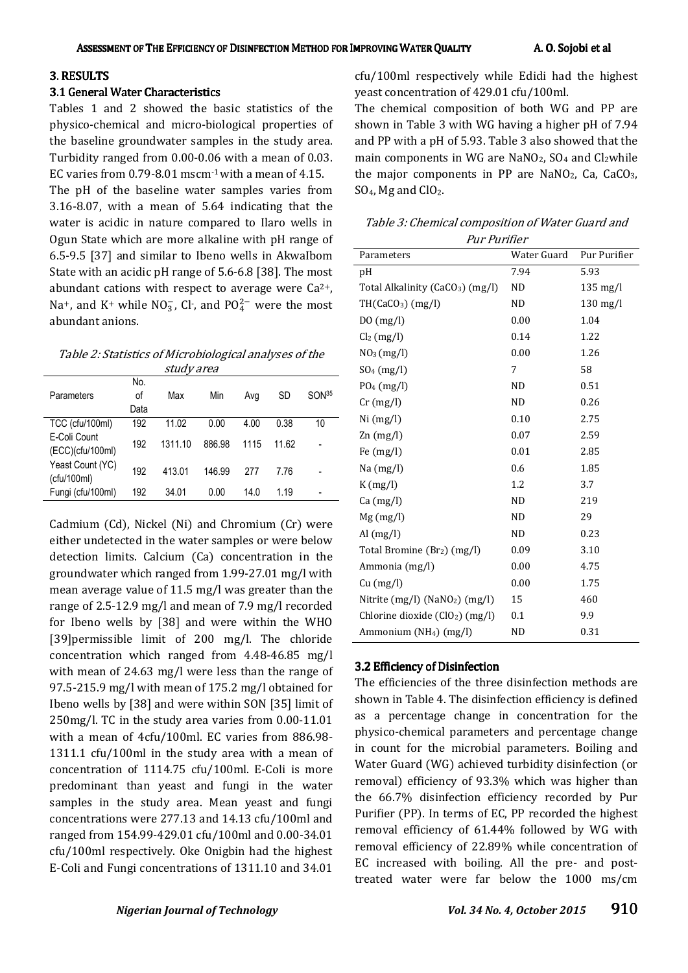#### 3. RESULTS 3. RESULTS

#### 3.1 General Water Characteristics

Tables 1 and 2 showed the basic statistics of the physico-chemical and micro-biological properties of the baseline groundwater samples in the study area. Turbidity ranged from 0.00-0.06 with a mean of 0.03. EC varies from  $0.79 - 8.01$  mscm<sup>-1</sup> with a mean of 4.15.

The pH of the baseline water samples varies from 3.16-8.07, with a mean of 5.64 indicating that the water is acidic in nature compared to Ilaro wells in Ogun State which are more alkaline with pH range of 6.5-9.5 [37] and similar to Ibeno wells in AkwaIbom State with an acidic pH range of 5.6-6.8 [38]. The most abundant cations with respect to average were  $Ca^{2+}$ , Na<sup>+</sup>, and K<sup>+</sup> while NO<sub>3</sub>, Cl<sup>-</sup>, and PO<sup>2</sup><sup>-</sup> were the most abundant anions.

# Table 2: Statistics of Microbiological analyses of the study area

|                   | No.  |         |        |      |       |                   |
|-------------------|------|---------|--------|------|-------|-------------------|
| Parameters        | οf   | Max     | Min    | Avq  | SD    | SON <sup>35</sup> |
|                   | Data |         |        |      |       |                   |
| TCC (cfu/100ml)   | 192  | 11.02   | 0.00   | 4.00 | 0.38  | 10                |
| E-Coli Count      | 192  | 1311.10 | 886.98 | 1115 | 11.62 |                   |
| (ECC)(cfu/100ml)  |      |         |        |      |       |                   |
| Yeast Count (YC)  | 192  | 413.01  | 146.99 | 277  | 7.76  | -                 |
| (ctu/100ml)       |      |         |        |      |       |                   |
| Fungi (cfu/100ml) | 192  | 34.01   | 0.00   | 14.0 | 1.19  |                   |

Cadmium (Cd), Nickel (Ni) and Chromium (Cr) were either undetected in the water samples or were below detection limits. Calcium (Ca) concentration in the groundwater which ranged from 1.99-27.01 mg/l with mean average value of 11.5 mg/l was greater than the range of 2.5-12.9 mg/l and mean of 7.9 mg/l recorded for Ibeno wells by [38] and were within the WHO [39]permissible limit of 200 mg/l. The chloride concentration which ranged from 4.48-46.85 mg/l with mean of 24.63 mg/l were less than the range of 97.5-215.9 mg/l with mean of 175.2 mg/l obtained for Ibeno wells by [38] and were within SON [35] limit of 250mg/l. TC in the study area varies from 0.00-11.01 with a mean of 4cfu/100ml. EC varies from 886.98- 1311.1 cfu/100ml in the study area with a mean of concentration of 1114.75 cfu/100ml. E-Coli is more predominant than yeast and fungi in the water samples in the study area. Mean yeast and fungi concentrations were 277.13 and 14.13 cfu/100ml and ranged from 154.99-429.01 cfu/100ml and 0.00-34.01 cfu/100ml respectively. Oke Onigbin had the highest E-Coli and Fungi concentrations of 1311.10 and 34.01

cfu/100ml respectively while Edidi had the highest yeast concentration of 429.01 cfu/100ml.

The chemical composition of both WG and PP are shown in Table 3 with WG having a higher pH of 7.94 and PP with a pH of 5.93. Table 3 also showed that the main components in WG are NaNO<sub>2</sub>,  $SO_4$  and Cl<sub>2</sub>while the major components in PP are NaNO<sub>2</sub>, Ca, CaCO<sub>3</sub>,  $SO_4$ , Mg and ClO<sub>2</sub>.

| Table 3: Chemical composition of Water Guard and |
|--------------------------------------------------|
| <i>Pur Purifier</i>                              |

| тигтинг                                        |             |                    |  |  |  |
|------------------------------------------------|-------------|--------------------|--|--|--|
| Parameters                                     | Water Guard | Pur Purifier       |  |  |  |
| pH                                             | 7.94        | 5.93               |  |  |  |
| Total Alkalinity ( $CaCO3$ ) (mg/l)            | <b>ND</b>   | $135$ mg/l         |  |  |  |
| TH(CaCO <sub>3</sub> ) (mg/l)                  | <b>ND</b>   | $130 \text{ mg/l}$ |  |  |  |
| $D0$ (mg/l)                                    | 0.00        | 1.04               |  |  |  |
| Cl <sub>2</sub> (mg/l)                         | 0.14        | 1.22               |  |  |  |
| $NO3$ (mg/l)                                   | 0.00        | 1.26               |  |  |  |
| $SO_4$ (mg/l)                                  | 7           | 58                 |  |  |  |
| $P0_4$ (mg/l)                                  | <b>ND</b>   | 0.51               |  |  |  |
| $Cr$ (mg/l)                                    | <b>ND</b>   | 0.26               |  |  |  |
| Ni (mg/l)                                      | 0.10        | 2.75               |  |  |  |
| $\text{Zn (mg/l)}$                             | 0.07        | 2.59               |  |  |  |
| Fe $(mg/l)$                                    | 0.01        | 2.85               |  |  |  |
| Na (mg/l)                                      | 0.6         | 1.85               |  |  |  |
| K(mg/l)                                        | 1.2         | 3.7                |  |  |  |
| Ca (mg/l)                                      | <b>ND</b>   | 219                |  |  |  |
| $Mg$ (mg/l)                                    | <b>ND</b>   | 29                 |  |  |  |
| Al $(mg/l)$                                    | <b>ND</b>   | 0.23               |  |  |  |
| Total Bromine (Br <sub>2</sub> ) (mg/l)        | 0.09        | 3.10               |  |  |  |
| Ammonia (mg/l)                                 | 0.00        | 4.75               |  |  |  |
| Cu (mg/l)                                      | 0.00        | 1.75               |  |  |  |
| Nitrite $(mg/l)$ (NaNO <sub>2</sub> ) $(mg/l)$ | 15          | 460                |  |  |  |
| Chlorine dioxide (ClO <sub>2</sub> ) (mg/l)    | 0.1         | 9.9                |  |  |  |
| Ammonium (NH <sub>4</sub> ) (mg/l)             | <b>ND</b>   | 0.31               |  |  |  |

#### 3.2 Efficiency of Disinfection

The efficiencies of the three disinfection methods are shown in Table 4. The disinfection efficiency is defined as a percentage change in concentration for the physico-chemical parameters and percentage change in count for the microbial parameters. Boiling and Water Guard (WG) achieved turbidity disinfection (or removal) efficiency of 93.3% which was higher than the 66.7% disinfection efficiency recorded by Pur Purifier (PP). In terms of EC, PP recorded the highest removal efficiency of 61.44% followed by WG with removal efficiency of 22.89% while concentration of EC increased with boiling. All the pre- and posttreated water were far below the 1000 ms/cm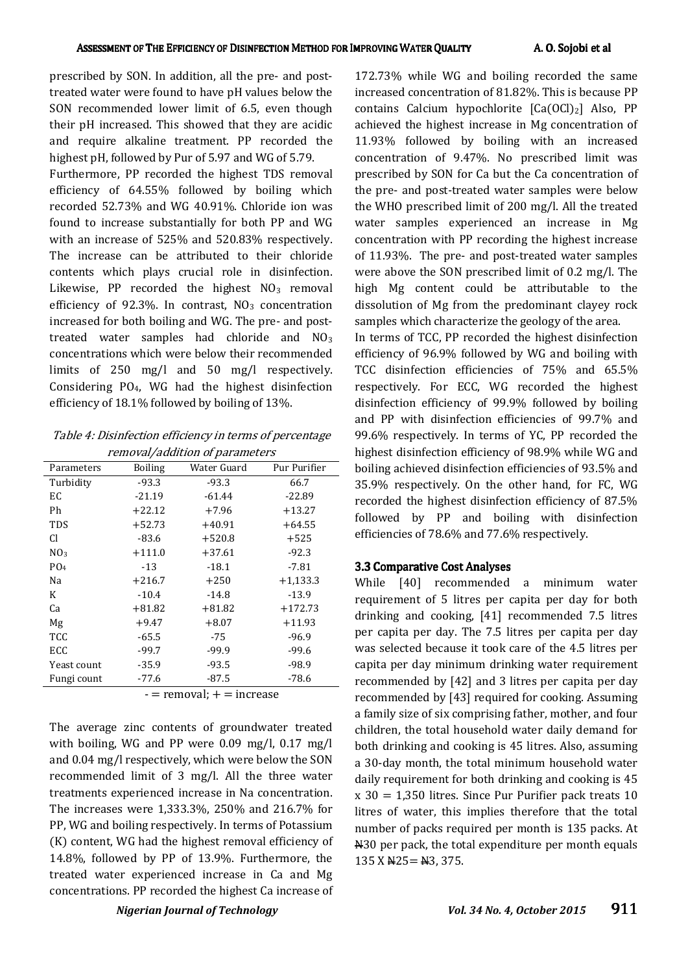prescribed by SON. In addition, all the pre- and posttreated water were found to have pH values below the SON recommended lower limit of 6.5, even though their pH increased. This showed that they are acidic and require alkaline treatment. PP recorded the highest pH, followed by Pur of 5.97 and WG of 5.79. Furthermore, PP recorded the highest TDS removal efficiency of 64.55% followed by boiling which recorded 52.73% and WG 40.91%. Chloride ion was found to increase substantially for both PP and WG with an increase of 525% and 520.83% respectively. The increase can be attributed to their chloride contents which plays crucial role in disinfection. Likewise, PP recorded the highest  $NO<sub>3</sub>$  removal efficiency of 92.3%. In contrast,  $NO<sub>3</sub>$  concentration increased for both boiling and WG. The pre- and posttreated water samples had chloride and  $NO<sub>3</sub>$ concentrations which were below their recommended limits of 250 mg/l and 50 mg/l respectively. Considering PO4, WG had the highest disinfection

Table 4: Disinfection efficiency in terms of percentage removal/addition of parameters

efficiency of 18.1% followed by boiling of 13%.

| Parameters      | <b>Boiling</b> | Water Guard | Pur Purifier |
|-----------------|----------------|-------------|--------------|
| Turbidity       | $-93.3$        | $-93.3$     | 66.7         |
| ЕC              | $-21.19$       | $-61.44$    | $-22.89$     |
| Ph              | $+22.12$       | $+7.96$     | $+13.27$     |
| <b>TDS</b>      | $+52.73$       | $+40.91$    | $+64.55$     |
| Cl              | $-83.6$        | $+520.8$    | $+525$       |
| NO <sub>3</sub> | $+111.0$       | $+37.61$    | $-92.3$      |
| PO <sub>4</sub> | $-13$          | $-18.1$     | $-7.81$      |
| Na              | $+216.7$       | $+250$      | $+1,133.3$   |
| K               | $-10.4$        | $-14.8$     | $-13.9$      |
| Ca              | $+81.82$       | $+81.82$    | $+172.73$    |
| Mg              | $+9.47$        | $+8.07$     | $+11.93$     |
| <b>TCC</b>      | $-65.5$        | $-75$       | $-96.9$      |
| ECC             | $-99.7$        | $-99.9$     | $-99.6$      |
| Yeast count     | $-35.9$        | $-93.5$     | $-98.9$      |
| Fungi count     | $-77.6$        | $-87.5$     | $-78.6$      |

 $-$  = removal;  $+$  = increase

The average zinc contents of groundwater treated with boiling, WG and PP were 0.09 mg/l, 0.17 mg/l and 0.04 mg/l respectively, which were below the SON recommended limit of 3 mg/l. All the three water treatments experienced increase in Na concentration. The increases were 1,333.3%, 250% and 216.7% for PP, WG and boiling respectively. In terms of Potassium (K) content, WG had the highest removal efficiency of 14.8%, followed by PP of 13.9%. Furthermore, the treated water experienced increase in Ca and Mg concentrations. PP recorded the highest Ca increase of

172.73% while WG and boiling recorded the same increased concentration of 81.82%. This is because PP contains Calcium hypochlorite  $[Ca(OCl)_2]$  Also, PP achieved the highest increase in Mg concentration of 11.93% followed by boiling with an increased concentration of 9.47%. No prescribed limit was prescribed by SON for Ca but the Ca concentration of the pre- and post-treated water samples were below the WHO prescribed limit of 200 mg/l. All the treated water samples experienced an increase in Mg concentration with PP recording the highest increase of 11.93%. The pre- and post-treated water samples were above the SON prescribed limit of 0.2 mg/l. The high Mg content could be attributable to the dissolution of Mg from the predominant clayey rock samples which characterize the geology of the area.

In terms of TCC, PP recorded the highest disinfection efficiency of 96.9% followed by WG and boiling with TCC disinfection efficiencies of 75% and 65.5% respectively. For ECC, WG recorded the highest disinfection efficiency of 99.9% followed by boiling and PP with disinfection efficiencies of 99.7% and 99.6% respectively. In terms of YC, PP recorded the highest disinfection efficiency of 98.9% while WG and boiling achieved disinfection efficiencies of 93.5% and 35.9% respectively. On the other hand, for FC, WG recorded the highest disinfection efficiency of 87.5% followed by PP and boiling with disinfection efficiencies of 78.6% and 77.6% respectively.

#### 3.3 Comparative Cost Analyses

While [40] recommended a minimum water requirement of 5 litres per capita per day for both drinking and cooking, [41] recommended 7.5 litres per capita per day. The 7.5 litres per capita per day was selected because it took care of the 4.5 litres per capita per day minimum drinking water requirement recommended by [42] and 3 litres per capita per day recommended by [43] required for cooking. Assuming a family size of six comprising father, mother, and four children, the total household water daily demand for both drinking and cooking is 45 litres. Also, assuming a 30-day month, the total minimum household water daily requirement for both drinking and cooking is 45  $x$  30 = 1,350 litres. Since Pur Purifier pack treats 10 litres of water, this implies therefore that the total number of packs required per month is 135 packs. At N30 per pack, the total expenditure per month equals  $135 X W25 = W3, 375.$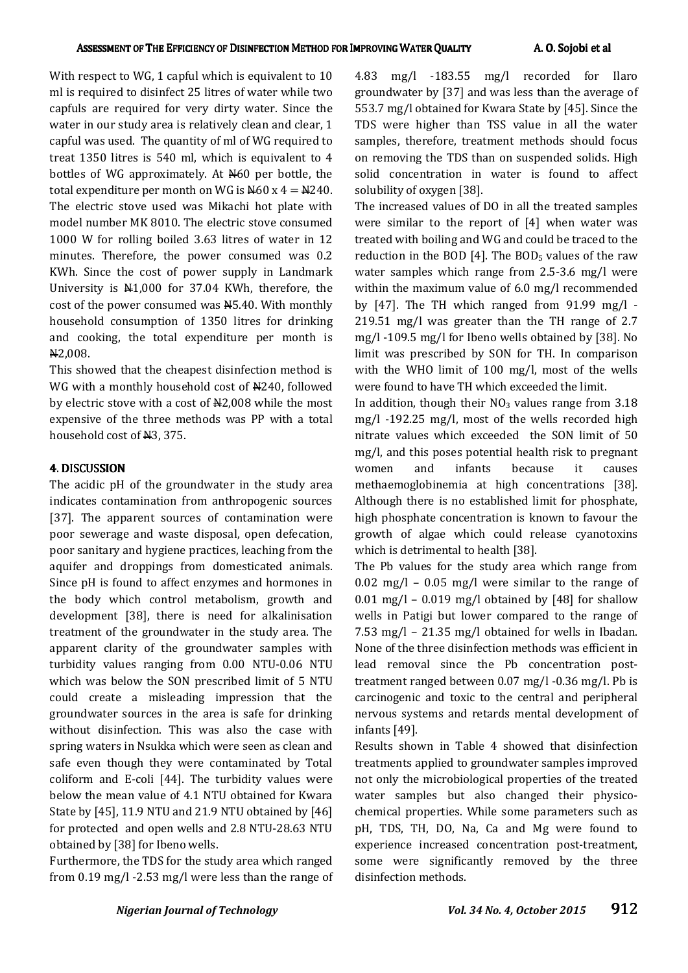With respect to WG, 1 capful which is equivalent to 10 ml is required to disinfect 25 litres of water while two capfuls are required for very dirty water. Since the water in our study area is relatively clean and clear, 1 capful was used. The quantity of ml of WG required to treat 1350 litres is 540 ml, which is equivalent to 4 bottles of WG approximately. At  $H60$  per bottle, the total expenditure per month on WG is  $N60 \times 4 = N240$ . The electric stove used was Mikachi hot plate with model number MK 8010. The electric stove consumed 1000 W for rolling boiled 3.63 litres of water in 12 minutes. Therefore, the power consumed was 0.2 KWh. Since the cost of power supply in Landmark University is  $\frac{1000}{100}$  for 37.04 KWh, therefore, the cost of the power consumed was  $H$ 5.40. With monthly household consumption of 1350 litres for drinking and cooking, the total expenditure per month is N2,008.

This showed that the cheapest disinfection method is WG with a monthly household cost of  $\frac{1240}{120}$ , followed by electric stove with a cost of N2,008 while the most expensive of the three methods was PP with a total household cost of N<sub>3</sub>, 375.

# 4. DISCUSSION

The acidic pH of the groundwater in the study area indicates contamination from anthropogenic sources [37]. The apparent sources of contamination were poor sewerage and waste disposal, open defecation, poor sanitary and hygiene practices, leaching from the aquifer and droppings from domesticated animals. Since pH is found to affect enzymes and hormones in the body which control metabolism, growth and development [38], there is need for alkalinisation treatment of the groundwater in the study area. The apparent clarity of the groundwater samples with turbidity values ranging from 0.00 NTU-0.06 NTU which was below the SON prescribed limit of 5 NTU could create a misleading impression that the groundwater sources in the area is safe for drinking without disinfection. This was also the case with spring waters in Nsukka which were seen as clean and safe even though they were contaminated by Total coliform and E-coli [44]. The turbidity values were below the mean value of 4.1 NTU obtained for Kwara State by [45], 11.9 NTU and 21.9 NTU obtained by [46] for protected and open wells and 2.8 NTU-28.63 NTU obtained by [38] for Ibeno wells.

Furthermore, the TDS for the study area which ranged from 0.19 mg/l -2.53 mg/l were less than the range of

4.83 mg/l -183.55 mg/l recorded for Ilaro groundwater by [37] and was less than the average of 553.7 mg/l obtained for Kwara State by [45]. Since the TDS were higher than TSS value in all the water samples, therefore, treatment methods should focus on removing the TDS than on suspended solids. High solid concentration in water is found to affect solubility of oxygen [38].

The increased values of DO in all the treated samples were similar to the report of [4] when water was treated with boiling and WG and could be traced to the reduction in the BOD  $[4]$ . The BOD<sub>5</sub> values of the raw water samples which range from 2.5-3.6 mg/l were within the maximum value of 6.0 mg/l recommended by [47]. The TH which ranged from 91.99 mg/l - 219.51 mg/l was greater than the TH range of 2.7 mg/l -109.5 mg/l for Ibeno wells obtained by [38]. No limit was prescribed by SON for TH. In comparison with the WHO limit of 100 mg/l, most of the wells were found to have TH which exceeded the limit.

In addition, though their  $NO<sub>3</sub>$  values range from 3.18 mg/l -192.25 mg/l, most of the wells recorded high nitrate values which exceeded the SON limit of 50 mg/l, and this poses potential health risk to pregnant women and infants because it causes methaemoglobinemia at high concentrations [38]. Although there is no established limit for phosphate, high phosphate concentration is known to favour the growth of algae which could release cyanotoxins which is detrimental to health [38].

The Pb values for the study area which range from 0.02 mg/l – 0.05 mg/l were similar to the range of  $0.01$  mg/l –  $0.019$  mg/l obtained by [48] for shallow wells in Patigi but lower compared to the range of 7.53 mg/l – 21.35 mg/l obtained for wells in Ibadan. None of the three disinfection methods was efficient in lead removal since the Pb concentration posttreatment ranged between 0.07 mg/l -0.36 mg/l. Pb is carcinogenic and toxic to the central and peripheral nervous systems and retards mental development of infants [49].

Results shown in Table 4 showed that disinfection treatments applied to groundwater samples improved not only the microbiological properties of the treated water samples but also changed their physicochemical properties. While some parameters such as pH, TDS, TH, DO, Na, Ca and Mg were found to experience increased concentration post-treatment, some were significantly removed by the three disinfection methods.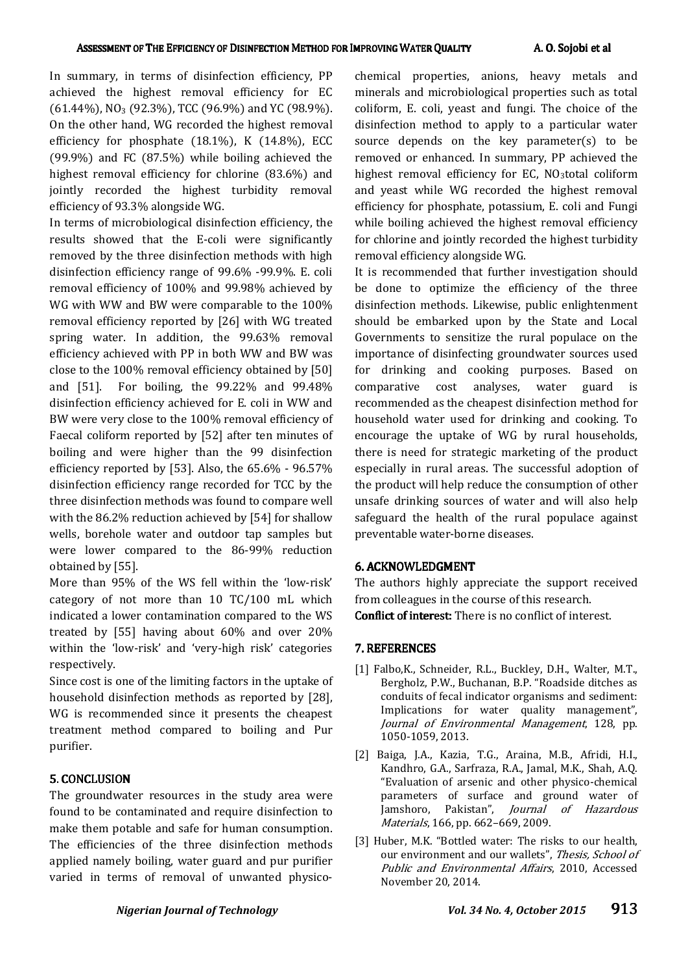In summary, in terms of disinfection efficiency, PP achieved the highest removal efficiency for EC (61.44%), NO3 (92.3%), TCC (96.9%) and YC (98.9%). On the other hand, WG recorded the highest removal efficiency for phosphate (18.1%), K (14.8%), ECC (99.9%) and FC (87.5%) while boiling achieved the highest removal efficiency for chlorine (83.6%) and jointly recorded the highest turbidity removal efficiency of 93.3% alongside WG.

In terms of microbiological disinfection efficiency, the results showed that the E-coli were significantly removed by the three disinfection methods with high disinfection efficiency range of 99.6% -99.9%. E. coli removal efficiency of 100% and 99.98% achieved by WG with WW and BW were comparable to the 100% removal efficiency reported by [26] with WG treated spring water. In addition, the 99.63% removal efficiency achieved with PP in both WW and BW was close to the 100% removal efficiency obtained by [50] and [51]. For boiling, the 99.22% and 99.48% disinfection efficiency achieved for E. coli in WW and BW were very close to the 100% removal efficiency of Faecal coliform reported by [52] after ten minutes of boiling and were higher than the 99 disinfection efficiency reported by [53]. Also, the 65.6% - 96.57% disinfection efficiency range recorded for TCC by the three disinfection methods was found to compare well with the 86.2% reduction achieved by [54] for shallow wells, borehole water and outdoor tap samples but were lower compared to the 86-99% reduction obtained by [55].

More than 95% of the WS fell within the 'low-risk' category of not more than 10 TC/100 mL which indicated a lower contamination compared to the WS treated by [55] having about 60% and over 20% within the 'low-risk' and 'very-high risk' categories respectively.

Since cost is one of the limiting factors in the uptake of household disinfection methods as reported by [28], WG is recommended since it presents the cheapest treatment method compared to boiling and Pur purifier.

# 5. CONCLUSION 5. CONCLUSION CONCLUSION

The groundwater resources in the study area were found to be contaminated and require disinfection to make them potable and safe for human consumption. The efficiencies of the three disinfection methods applied namely boiling, water guard and pur purifier varied in terms of removal of unwanted physicochemical properties, anions, heavy metals and minerals and microbiological properties such as total coliform, E. coli, yeast and fungi. The choice of the disinfection method to apply to a particular water source depends on the key parameter(s) to be removed or enhanced. In summary, PP achieved the highest removal efficiency for EC,  $NO<sub>3</sub>$ total coliform and yeast while WG recorded the highest removal efficiency for phosphate, potassium, E. coli and Fungi while boiling achieved the highest removal efficiency for chlorine and jointly recorded the highest turbidity removal efficiency alongside WG.

It is recommended that further investigation should be done to optimize the efficiency of the three disinfection methods. Likewise, public enlightenment should be embarked upon by the State and Local Governments to sensitize the rural populace on the importance of disinfecting groundwater sources used for drinking and cooking purposes. Based on comparative cost analyses, water guard is recommended as the cheapest disinfection method for household water used for drinking and cooking. To encourage the uptake of WG by rural households, there is need for strategic marketing of the product especially in rural areas. The successful adoption of the product will help reduce the consumption of other unsafe drinking sources of water and will also help safeguard the health of the rural populace against preventable water-borne diseases.

#### 6. ACKNOWLEDGMENT

The authors highly appreciate the support received from colleagues in the course of this research.

Conflict of interest: There is no conflict of interest.

#### 7. REFERENCES 7. REFERENCES REFERENCES

- [1] Falbo,K., Schneider, R.L., Buckley, D.H., Walter, M.T., Bergholz, P.W., Buchanan, B.P. "Roadside ditches as conduits of fecal indicator organisms and sediment: Implications for water quality management", Journal of Environmental Management, 128, pp. 1050-1059, 2013.
- [2] Baiga, J.A., Kazia, T.G., Araina, M.B., Afridi, H.I., Kandhro, G.A., Sarfraza, R.A., Jamal, M.K., Shah, A.Q. "Evaluation of arsenic and other physico-chemical parameters of surface and ground water of Jamshoro, Pakistan", Journal of Hazardous Materials, 166, pp. 662–669, 2009.
- [3] Huber, M.K. "Bottled water: The risks to our health, our environment and our wallets", Thesis, School of Public and Environmental Affairs, 2010, Accessed November 20, 2014.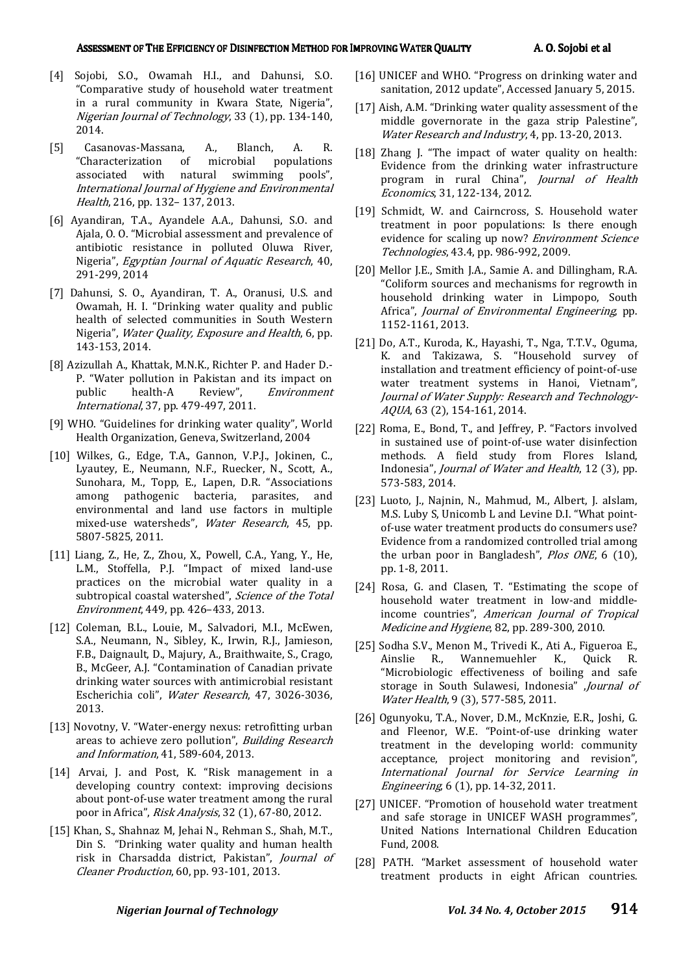- [4] Sojobi, S.O., Owamah H.I., and Dahunsi, S.O. "Comparative study of household water treatment in a rural community in Kwara State, Nigeria", Nigerian Journal of Technology, 33 (1), pp. 134-140, 2014.
- [5] Casanovas-Massana, A., Blanch, A. R. "Characterization of microbial populations associated with natural swimming pools", International Journal of Hygiene and Environmental Health, 216, pp. 132– 137, 2013.
- [6] Ayandiran, T.A., Ayandele A.A., Dahunsi, S.O. and Ajala, O. O. "Microbial assessment and prevalence of antibiotic resistance in polluted Oluwa River, Nigeria", Egyptian Journal of Aquatic Research, 40, 291-299, 2014
- [7] Dahunsi, S. O., Ayandiran, T. A., Oranusi, U.S. and Owamah, H. I. "Drinking water quality and public health of selected communities in South Western Nigeria", Water Quality, Exposure and Health, 6, pp. 143-153, 2014.
- [8] Azizullah A., Khattak, M.N.K., Richter P. and Hader D.- P. "Water pollution in Pakistan and its impact on public health-A Review", Environment International, 37, pp. 479-497, 2011.
- [9] WHO. "Guidelines for drinking water quality", World Health Organization, Geneva, Switzerland, 2004
- [10] Wilkes, G., Edge, T.A., Gannon, V.P.J., Jokinen, C., Lyautey, E., Neumann, N.F., Ruecker, N., Scott, A., Sunohara, M., Topp, E., Lapen, D.R. "Associations among pathogenic bacteria, parasites, and environmental and land use factors in multiple mixed-use watersheds", Water Research, 45, pp. 5807-5825, 2011.
- [11] Liang, Z., He, Z., Zhou, X., Powell, C.A., Yang, Y., He, L.M., Stoffella, P.J. "Impact of mixed land-use practices on the microbial water quality in a subtropical coastal watershed", Science of the Total Environment, 449, pp. 426–433, 2013.
- [12] Coleman, B.L., Louie, M., Salvadori, M.I., McEwen, S.A., Neumann, N., Sibley, K., Irwin, R.J., Jamieson, F.B., Daignault, D., Majury, A., Braithwaite, S., Crago, B., McGeer, A.J. "Contamination of Canadian private drinking water sources with antimicrobial resistant Escherichia coli", Water Research, 47, 3026-3036, 2013.
- [13] Novotny, V. "Water-energy nexus: retrofitting urban areas to achieve zero pollution", Building Research and Information, 41, 589-604, 2013.
- [14] Arvai, J. and Post, K. "Risk management in a developing country context: improving decisions about pont-of-use water treatment among the rural poor in Africa", Risk Analysis, 32 (1), 67-80, 2012.
- [15] Khan, S., Shahnaz M, Jehai N., Rehman S., Shah, M.T., Din S. "Drinking water quality and human health risk in Charsadda district, Pakistan", Journal of Cleaner Production, 60, pp. 93-101, 2013.
- [16] UNICEF and WHO. "Progress on drinking water and sanitation, 2012 update", Accessed January 5, 2015.
- [17] Aish, A.M. "Drinking water quality assessment of the middle governorate in the gaza strip Palestine", Water Research and Industry, 4, pp. 13-20, 2013.
- [18] Zhang J. "The impact of water quality on health: Evidence from the drinking water infrastructure program in rural China", Journal of Health Economics, 31, 122-134, 2012.
- [19] Schmidt, W. and Cairncross, S. Household water treatment in poor populations: Is there enough evidence for scaling up now? Environment Science Technologies, 43.4, pp. 986-992, 2009.
- [20] Mellor J.E., Smith J.A., Samie A. and Dillingham, R.A. "Coliform sources and mechanisms for regrowth in household drinking water in Limpopo, South Africa", Journal of Environmental Engineering, pp. 1152-1161, 2013.
- [21] Do, A.T., Kuroda, K., Hayashi, T., Nga, T.T.V., Oguma, K. and Takizawa, S. "Household survey of installation and treatment efficiency of point-of-use water treatment systems in Hanoi, Vietnam", Journal of Water Supply: Research and Technology-AQUA, 63 (2), 154-161, 2014.
- [22] Roma, E., Bond, T., and Jeffrey, P. "Factors involved in sustained use of point-of-use water disinfection methods. A field study from Flores Island, Indonesia", Journal of Water and Health, 12 (3), pp. 573-583, 2014.
- [23] Luoto, J., Najnin, N., Mahmud, M., Albert, J. aIslam, M.S. Luby S, Unicomb L and Levine D.I. "What pointof-use water treatment products do consumers use? Evidence from a randomized controlled trial among the urban poor in Bangladesh", Plos ONE, 6 (10), pp. 1-8, 2011.
- [24] Rosa, G. and Clasen, T. "Estimating the scope of household water treatment in low-and middleincome countries", American Journal of Tropical Medicine and Hygiene, 82, pp. 289-300, 2010.
- [25] Sodha S.V., Menon M., Trivedi K., Ati A., Figueroa E., Ainslie R., Wannemuehler K., Quick R. "Microbiologic effectiveness of boiling and safe storage in South Sulawesi, Indonesia" ,Journal of Water Health, 9 (3), 577-585, 2011.
- [26] Ogunyoku, T.A., Nover, D.M., McKnzie, E.R., Joshi, G. and Fleenor, W.E. "Point-of-use drinking water treatment in the developing world: community acceptance, project monitoring and revision", International Journal for Service Learning in Engineering, 6 (1), pp. 14-32, 2011.
- [27] UNICEF. "Promotion of household water treatment and safe storage in UNICEF WASH programmes", United Nations International Children Education Fund, 2008.
- [28] PATH. "Market assessment of household water treatment products in eight African countries.